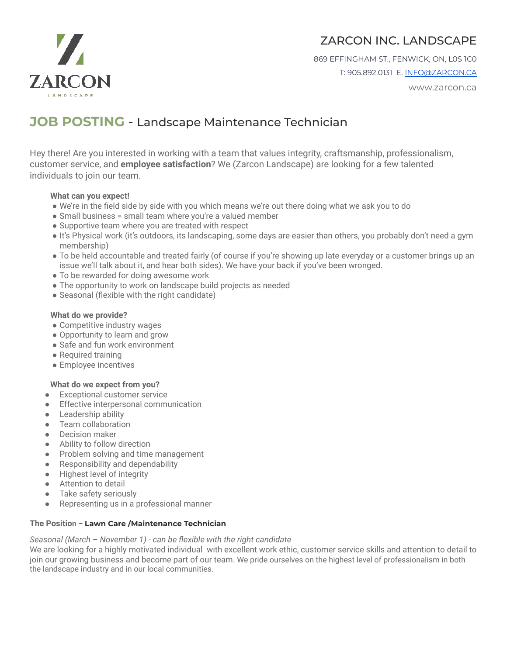



869 EFFINGHAM ST., FENWICK, ON, L0S 1C0 T: 905.892.0131 E. [INFO@ZARCON.CA](mailto:INFO@ZARCON.CA)

www.zarcon.ca

# **JOB POSTING** - Landscape Maintenance Technician

Hey there! Are you interested in working with a team that values integrity, craftsmanship, professionalism, customer service, and **employee satisfaction**? We (Zarcon Landscape) are looking for a few talented individuals to join our team.

## **What can you expect!**

- We're in the field side by side with you which means we're out there doing what we ask you to do
- Small business = small team where you're a valued member
- Supportive team where you are treated with respect
- It's Physical work (it's outdoors, its landscaping, some days are easier than others, you probably don't need a gym membership)
- To be held accountable and treated fairly (of course if you're showing up late everyday or a customer brings up an issue we'll talk about it, and hear both sides). We have your back if you've been wronged.
- To be rewarded for doing awesome work
- The opportunity to work on landscape build projects as needed
- Seasonal (flexible with the right candidate)

#### **What do we provide?**

- Competitive industry wages
- Opportunity to learn and grow
- Safe and fun work environment
- Required training
- Employee incentives

#### **What do we expect from you?**

- Exceptional customer service
- Effective interpersonal communication
- Leadership ability
- Team collaboration
- Decision maker
- Ability to follow direction
- Problem solving and time management
- Responsibility and dependability
- Highest level of integrity
- Attention to detail
- Take safety seriously
- Representing us in a professional manner

## **The Position – Lawn Care /Maintenance Technician**

#### *Seasonal (March – November 1) - can be flexible with the right candidate*

We are looking for a highly motivated individual with excellent work ethic, customer service skills and attention to detail to join our growing business and become part of our team. We pride ourselves on the highest level of professionalism in both the landscape industry and in our local communities.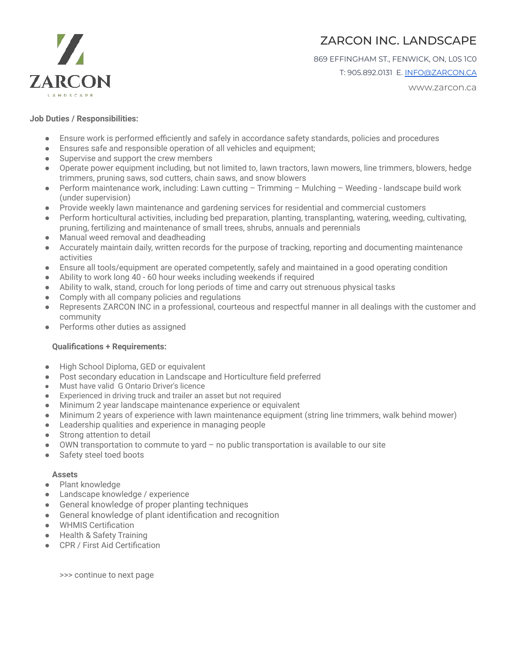



869 EFFINGHAM ST., FENWICK, ON, L0S 1C0

T: 905.892.0131 E. [INFO@ZARCON.CA](mailto:INFO@ZARCON.CA)

www.zarcon.ca

#### **Job Duties / Responsibilities:**

- Ensure work is performed efficiently and safely in accordance safety standards, policies and procedures
- Ensures safe and responsible operation of all vehicles and equipment;
- Supervise and support the crew members
- Operate power equipment including, but not limited to, lawn tractors, lawn mowers, line trimmers, blowers, hedge trimmers, pruning saws, sod cutters, chain saws, and snow blowers
- Perform maintenance work, including: Lawn cutting Trimming Mulching Weeding landscape build work (under supervision)
- Provide weekly lawn maintenance and gardening services for residential and commercial customers
- Perform horticultural activities, including bed preparation, planting, transplanting, watering, weeding, cultivating, pruning, fertilizing and maintenance of small trees, shrubs, annuals and perennials
- Manual weed removal and deadheading
- Accurately maintain daily, written records for the purpose of tracking, reporting and documenting maintenance activities
- Ensure all tools/equipment are operated competently, safely and maintained in a good operating condition
- Ability to work long 40 60 hour weeks including weekends if required
- Ability to walk, stand, crouch for long periods of time and carry out strenuous physical tasks
- Comply with all company policies and regulations
- Represents ZARCON INC in a professional, courteous and respectful manner in all dealings with the customer and community
- Performs other duties as assigned

#### **Qualifications + Requirements:**

- High School Diploma, GED or equivalent
- Post secondary education in Landscape and Horticulture field preferred
- Must have valid G Ontario Driver's licence
- Experienced in driving truck and trailer an asset but not required
- Minimum 2 year landscape maintenance experience or equivalent
- Minimum 2 years of experience with lawn maintenance equipment (string line trimmers, walk behind mower)
- Leadership qualities and experience in managing people
- Strong attention to detail
- OWN transportation to commute to yard  $-$  no public transportation is available to our site
- Safety steel toed boots

#### **Assets**

- Plant knowledge
- Landscape knowledge / experience
- General knowledge of proper planting techniques
- General knowledge of plant identification and recognition
- WHMIS Certification
- Health & Safety Training
- CPR / First Aid Certification

>>> continue to next page